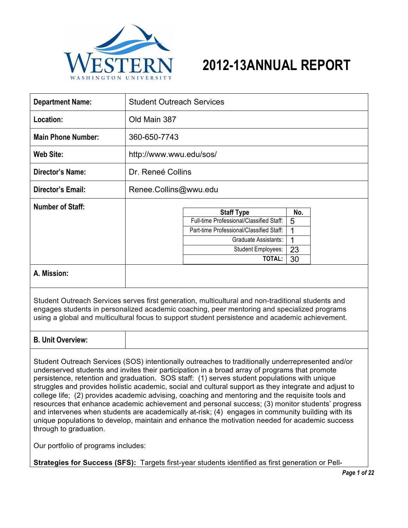

| <b>VESTER</b><br>WASHINGTON UNIVERSI                                                                                                                                                                                                                                                                                                                                                                                                                                                                                                                                                                                                                                                                                                                                                                                                                                                         |                                  | 2012-13ANNUAL REPORT                                                                                                                                                     |                                |  |
|----------------------------------------------------------------------------------------------------------------------------------------------------------------------------------------------------------------------------------------------------------------------------------------------------------------------------------------------------------------------------------------------------------------------------------------------------------------------------------------------------------------------------------------------------------------------------------------------------------------------------------------------------------------------------------------------------------------------------------------------------------------------------------------------------------------------------------------------------------------------------------------------|----------------------------------|--------------------------------------------------------------------------------------------------------------------------------------------------------------------------|--------------------------------|--|
| <b>Department Name:</b>                                                                                                                                                                                                                                                                                                                                                                                                                                                                                                                                                                                                                                                                                                                                                                                                                                                                      | <b>Student Outreach Services</b> |                                                                                                                                                                          |                                |  |
| Location:                                                                                                                                                                                                                                                                                                                                                                                                                                                                                                                                                                                                                                                                                                                                                                                                                                                                                    | Old Main 387                     |                                                                                                                                                                          |                                |  |
| <b>Main Phone Number:</b>                                                                                                                                                                                                                                                                                                                                                                                                                                                                                                                                                                                                                                                                                                                                                                                                                                                                    | 360-650-7743                     |                                                                                                                                                                          |                                |  |
| <b>Web Site:</b>                                                                                                                                                                                                                                                                                                                                                                                                                                                                                                                                                                                                                                                                                                                                                                                                                                                                             |                                  | http://www.wwu.edu/sos/                                                                                                                                                  |                                |  |
| <b>Director's Name:</b>                                                                                                                                                                                                                                                                                                                                                                                                                                                                                                                                                                                                                                                                                                                                                                                                                                                                      | Dr. Reneé Collins                |                                                                                                                                                                          |                                |  |
| <b>Director's Email:</b>                                                                                                                                                                                                                                                                                                                                                                                                                                                                                                                                                                                                                                                                                                                                                                                                                                                                     | Renee.Collins@wwu.edu            |                                                                                                                                                                          |                                |  |
| <b>Number of Staff:</b>                                                                                                                                                                                                                                                                                                                                                                                                                                                                                                                                                                                                                                                                                                                                                                                                                                                                      |                                  | <b>Staff Type</b><br>Full-time Professional/Classified Staff:<br>Part-time Professional/Classified Staff:<br>Graduate Assistants:<br><b>Student Employees:</b><br>TOTAL: | No.<br>5<br>1<br>1<br>23<br>30 |  |
| A. Mission:                                                                                                                                                                                                                                                                                                                                                                                                                                                                                                                                                                                                                                                                                                                                                                                                                                                                                  |                                  |                                                                                                                                                                          |                                |  |
| Student Outreach Services serves first generation, multicultural and non-traditional students and<br>engages students in personalized academic coaching, peer mentoring and specialized programs<br>using a global and multicultural focus to support student persistence and academic achievement.                                                                                                                                                                                                                                                                                                                                                                                                                                                                                                                                                                                          |                                  |                                                                                                                                                                          |                                |  |
| <b>B. Unit Overview:</b>                                                                                                                                                                                                                                                                                                                                                                                                                                                                                                                                                                                                                                                                                                                                                                                                                                                                     |                                  |                                                                                                                                                                          |                                |  |
| Student Outreach Services (SOS) intentionally outreaches to traditionally underrepresented and/or<br>underserved students and invites their participation in a broad array of programs that promote<br>persistence, retention and graduation. SOS staff: (1) serves student populations with unique<br>struggles and provides holistic academic, social and cultural support as they integrate and adjust to<br>college life; (2) provides academic advising, coaching and mentoring and the requisite tools and<br>resources that enhance academic achievement and personal success; (3) monitor students' progress<br>and intervenes when students are academically at-risk; (4) engages in community building with its<br>unique populations to develop, maintain and enhance the motivation needed for academic success<br>through to graduation.<br>Our portfolio of programs includes: |                                  |                                                                                                                                                                          |                                |  |

 **Strategies for Success (SFS):** Targets first-year students identified as first generation or Pell-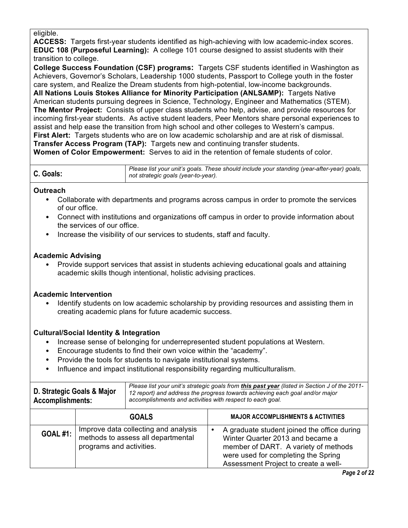#### eligible.

 **ACCESS:** Targets first-year students identified as high-achieving with low academic-index scores.  **EDUC 108 (Purposeful Learning):** A college 101 course designed to assist students with their transition to college.

 **College Success Foundation (CSF) programs:** Targets CSF students identified in Washington as Achievers, Governor's Scholars, Leadership 1000 students, Passport to College youth in the foster care system, and Realize the Dream students from high-potential, low-income backgrounds.

 **All Nations Louis Stokes Alliance for Minority Participation (ANLSAMP):** Targets Native American students pursuing degrees in Science, Technology, Engineer and Mathematics (STEM).  **The Mentor Project:** Consists of upper class students who help, advise, and provide resources for incoming first-year students. As active student leaders, Peer Mentors share personal experiences to assist and help ease the transition from high school and other colleges to Western's campus. **First Alert:** Targets students who are on low academic scholarship and are at risk of dismissal.  **Transfer Access Program (TAP):** Targets new and continuing transfer students.

 **Women of Color Empowerment:** Serves to aid in the retention of female students of color.

# **Outreach**

- • Collaborate with departments and programs across campus in order to promote the services of our office.
- • Connect with institutions and organizations off campus in order to provide information about the services of our office.
- Increase the visibility of our services to students, staff and faculty.

# **Academic Advising**

 • Provide support services that assist in students achieving educational goals and attaining academic skills though intentional, holistic advising practices.

# **Academic Intervention**

 creating academic plans for future academic success. • Identify students on low academic scholarship by providing resources and assisting them in

# **Cultural/Social Identity & Integration**

- Increase sense of belonging for underrepresented student populations at Western.
- Encourage students to find their own voice within the "academy".
- Provide the tools for students to navigate institutional systems.
- Influence and impact institutional responsibility regarding multiculturalism.

| D. Strategic Goals & Major<br><b>Accomplishments:</b> | Please list your unit's strategic goals from this past year (listed in Section J of the 2011-<br>12 report) and address the progress towards achieving each goal and/or major<br>accomplishments and activities with respect to each goal. |
|-------------------------------------------------------|--------------------------------------------------------------------------------------------------------------------------------------------------------------------------------------------------------------------------------------------|
|                                                       |                                                                                                                                                                                                                                            |

|                 | <b>GOALS</b>                                                                                           | <b>MAJOR ACCOMPLISHMENTS &amp; ACTIVITIES</b>                                                                                                                                                                       |
|-----------------|--------------------------------------------------------------------------------------------------------|---------------------------------------------------------------------------------------------------------------------------------------------------------------------------------------------------------------------|
| <b>GOAL #1:</b> | Improve data collecting and analysis<br>methods to assess all departmental<br>programs and activities. | A graduate student joined the office during<br>$\bullet$<br>Winter Quarter 2013 and became a<br>member of DART. A variety of methods<br>were used for completing the Spring<br>Assessment Project to create a well- |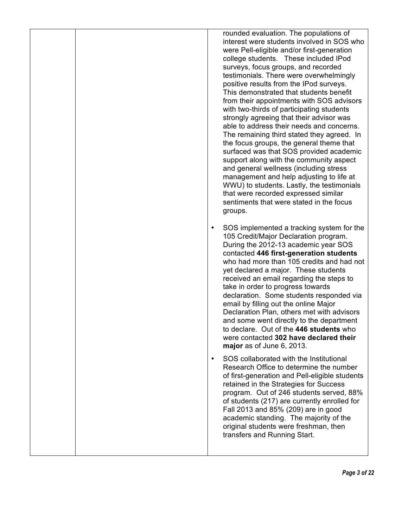| rounded evaluation. The populations of<br>interest were students involved in SOS who<br>were Pell-eligible and/or first-generation<br>college students. These included IPod<br>surveys, focus groups, and recorded<br>testimonials. There were overwhelmingly<br>positive results from the IPod surveys.<br>This demonstrated that students benefit<br>from their appointments with SOS advisors<br>with two-thirds of participating students<br>strongly agreeing that their advisor was<br>able to address their needs and concerns.<br>The remaining third stated they agreed. In<br>the focus groups, the general theme that<br>surfaced was that SOS provided academic<br>support along with the community aspect<br>and general wellness (including stress<br>management and help adjusting to life at<br>WWU) to students. Lastly, the testimonials<br>that were recorded expressed similar<br>sentiments that were stated in the focus<br>groups. |
|-----------------------------------------------------------------------------------------------------------------------------------------------------------------------------------------------------------------------------------------------------------------------------------------------------------------------------------------------------------------------------------------------------------------------------------------------------------------------------------------------------------------------------------------------------------------------------------------------------------------------------------------------------------------------------------------------------------------------------------------------------------------------------------------------------------------------------------------------------------------------------------------------------------------------------------------------------------|
| SOS implemented a tracking system for the<br>$\bullet$<br>105 Credit/Major Declaration program.<br>During the 2012-13 academic year SOS<br>contacted 446 first-generation students<br>who had more than 105 credits and had not<br>yet declared a major. These students<br>received an email regarding the steps to<br>take in order to progress towards<br>declaration. Some students responded via<br>email by filling out the online Major<br>Declaration Plan, others met with advisors<br>and some went directly to the department<br>to declare. Out of the 446 students who<br>were contacted 302 have declared their<br>major as of June 6, 2013.                                                                                                                                                                                                                                                                                                 |
| SOS collaborated with the Institutional<br>$\bullet$<br>Research Office to determine the number<br>of first-generation and Pell-eligible students<br>retained in the Strategies for Success<br>program. Out of 246 students served, 88%<br>of students (217) are currently enrolled for<br>Fall 2013 and 85% (209) are in good<br>academic standing. The majority of the<br>original students were freshman, then<br>transfers and Running Start.                                                                                                                                                                                                                                                                                                                                                                                                                                                                                                         |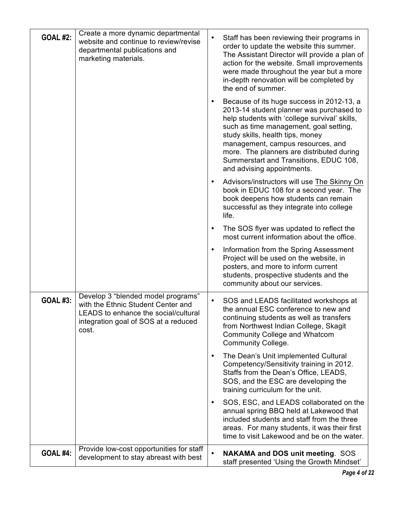| <b>GOAL #2:</b> | Create a more dynamic departmental<br>website and continue to review/revise<br>departmental publications and<br>marketing materials.                              | $\bullet$ | Staff has been reviewing their programs in<br>order to update the website this summer.<br>The Assistant Director will provide a plan of<br>action for the website. Small improvements<br>were made throughout the year but a more<br>in-depth renovation will be completed by<br>the end of summer.                                                                            |
|-----------------|-------------------------------------------------------------------------------------------------------------------------------------------------------------------|-----------|--------------------------------------------------------------------------------------------------------------------------------------------------------------------------------------------------------------------------------------------------------------------------------------------------------------------------------------------------------------------------------|
|                 |                                                                                                                                                                   | $\bullet$ | Because of its huge success in 2012-13, a<br>2013-14 student planner was purchased to<br>help students with 'college survival' skills,<br>such as time management, goal setting,<br>study skills, health tips, money<br>management, campus resources, and<br>more. The planners are distributed during<br>Summerstart and Transitions, EDUC 108,<br>and advising appointments. |
|                 |                                                                                                                                                                   | $\bullet$ | Advisors/instructors will use The Skinny On<br>book in EDUC 108 for a second year. The<br>book deepens how students can remain<br>successful as they integrate into college<br>life.                                                                                                                                                                                           |
|                 |                                                                                                                                                                   | $\bullet$ | The SOS flyer was updated to reflect the<br>most current information about the office.                                                                                                                                                                                                                                                                                         |
|                 |                                                                                                                                                                   | $\bullet$ | Information from the Spring Assessment<br>Project will be used on the website, in<br>posters, and more to inform current<br>students, prospective students and the<br>community about our services.                                                                                                                                                                            |
| <b>GOAL #3:</b> | Develop 3 "blended model programs"<br>with the Ethnic Student Center and<br>LEADS to enhance the social/cultural<br>integration goal of SOS at a reduced<br>cost. | $\bullet$ | SOS and LEADS facilitated workshops at<br>the annual ESC conference to new and<br>continuing students as well as transfers<br>from Northwest Indian College, Skagit<br><b>Community College and Whatcom</b><br><b>Community College.</b>                                                                                                                                       |
|                 |                                                                                                                                                                   | $\bullet$ | The Dean's Unit implemented Cultural<br>Competency/Sensitivity training in 2012.<br>Staffs from the Dean's Office, LEADS,<br>SOS, and the ESC are developing the<br>training curriculum for the unit.                                                                                                                                                                          |
|                 |                                                                                                                                                                   | $\bullet$ | SOS, ESC, and LEADS collaborated on the<br>annual spring BBQ held at Lakewood that<br>included students and staff from the three<br>areas. For many students, it was their first<br>time to visit Lakewood and be on the water.                                                                                                                                                |
| <b>GOAL #4:</b> | Provide low-cost opportunities for staff<br>development to stay abreast with best                                                                                 | $\bullet$ | <b>NAKAMA and DOS unit meeting. SOS</b><br>staff presented 'Using the Growth Mindset'                                                                                                                                                                                                                                                                                          |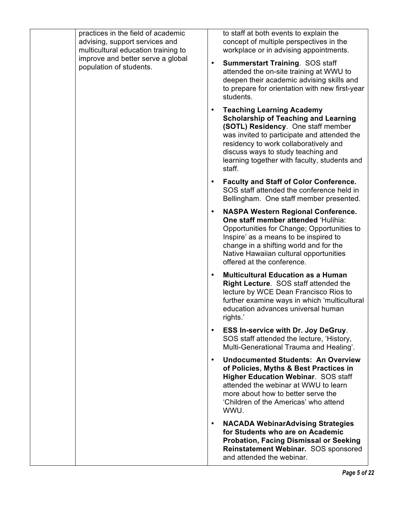| practices in the field of academic<br>advising, support services and<br>multicultural education training to<br>improve and better serve a global<br>population of students. | to staff at both events to explain the<br>concept of multiple perspectives in the<br>workplace or in advising appointments.<br><b>Summerstart Training. SOS staff</b><br>$\bullet$<br>attended the on-site training at WWU to<br>deepen their academic advising skills and<br>to prepare for orientation with new first-year<br>students. |
|-----------------------------------------------------------------------------------------------------------------------------------------------------------------------------|-------------------------------------------------------------------------------------------------------------------------------------------------------------------------------------------------------------------------------------------------------------------------------------------------------------------------------------------|
|                                                                                                                                                                             | <b>Teaching Learning Academy</b><br>$\bullet$<br><b>Scholarship of Teaching and Learning</b><br>(SOTL) Residency. One staff member<br>was invited to participate and attended the<br>residency to work collaboratively and<br>discuss ways to study teaching and<br>learning together with faculty, students and<br>staff.                |
|                                                                                                                                                                             | <b>Faculty and Staff of Color Conference.</b><br>$\bullet$<br>SOS staff attended the conference held in<br>Bellingham. One staff member presented.                                                                                                                                                                                        |
|                                                                                                                                                                             | <b>NASPA Western Regional Conference.</b><br>$\bullet$<br>One staff member attended 'Hulihia:<br>Opportunities for Change; Opportunities to<br>Inspire' as a means to be inspired to<br>change in a shifting world and for the<br>Native Hawaiian cultural opportunities<br>offered at the conference.                                    |
|                                                                                                                                                                             | <b>Multicultural Education as a Human</b><br>$\bullet$<br>Right Lecture. SOS staff attended the<br>lecture by WCE Dean Francisco Rios to<br>further examine ways in which 'multicultural<br>education advances universal human<br>rights.'                                                                                                |
|                                                                                                                                                                             | <b>ESS In-service with Dr. Joy DeGruy.</b><br>SOS staff attended the lecture, 'History,<br>Multi-Generational Trauma and Healing'.                                                                                                                                                                                                        |
|                                                                                                                                                                             | <b>Undocumented Students: An Overview</b><br>$\bullet$<br>of Policies, Myths & Best Practices in<br><b>Higher Education Webinar. SOS staff</b><br>attended the webinar at WWU to learn<br>more about how to better serve the<br>'Children of the Americas' who attend<br>WWU.                                                             |
|                                                                                                                                                                             | <b>NACADA WebinarAdvising Strategies</b><br>$\bullet$<br>for Students who are on Academic<br><b>Probation, Facing Dismissal or Seeking</b><br>Reinstatement Webinar. SOS sponsored<br>and attended the webinar.                                                                                                                           |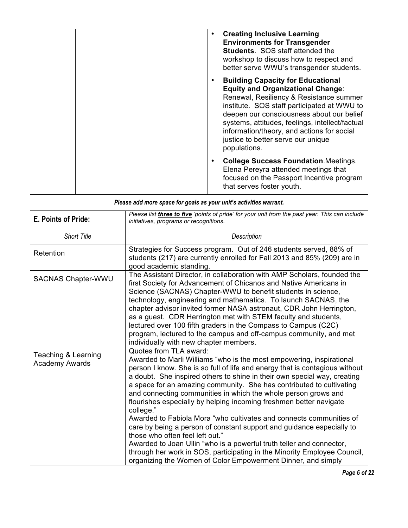| <b>Creating Inclusive Learning</b><br><b>Environments for Transgender</b><br><b>Students.</b> SOS staff attended the<br>workshop to discuss how to respect and<br>better serve WWU's transgender students.                                                                                                                                                                         |
|------------------------------------------------------------------------------------------------------------------------------------------------------------------------------------------------------------------------------------------------------------------------------------------------------------------------------------------------------------------------------------|
| <b>Building Capacity for Educational</b><br><b>Equity and Organizational Change:</b><br>Renewal, Resiliency & Resistance summer<br>institute. SOS staff participated at WWU to<br>deepen our consciousness about our belief<br>systems, attitudes, feelings, intellect/factual<br>information/theory, and actions for social<br>justice to better serve our unique<br>populations. |
| <b>College Success Foundation.</b> Meetings.<br>Elena Pereyra attended meetings that<br>focused on the Passport Incentive program<br>that serves foster youth.                                                                                                                                                                                                                     |

| Please add more space for goals as your unit's activities warrant. |                                                                                                                                                                                                                                                                                                                                                                                                                                                                                                                                                                                                                                                                                                                                                                                                                                                                                               |  |
|--------------------------------------------------------------------|-----------------------------------------------------------------------------------------------------------------------------------------------------------------------------------------------------------------------------------------------------------------------------------------------------------------------------------------------------------------------------------------------------------------------------------------------------------------------------------------------------------------------------------------------------------------------------------------------------------------------------------------------------------------------------------------------------------------------------------------------------------------------------------------------------------------------------------------------------------------------------------------------|--|
| E. Points of Pride:                                                | Please list three to five 'points of pride' for your unit from the past year. This can include<br>initiatives, programs or recognitions.                                                                                                                                                                                                                                                                                                                                                                                                                                                                                                                                                                                                                                                                                                                                                      |  |
| <b>Short Title</b>                                                 | Description                                                                                                                                                                                                                                                                                                                                                                                                                                                                                                                                                                                                                                                                                                                                                                                                                                                                                   |  |
| Retention                                                          | Strategies for Success program. Out of 246 students served, 88% of<br>students (217) are currently enrolled for Fall 2013 and 85% (209) are in<br>good academic standing.                                                                                                                                                                                                                                                                                                                                                                                                                                                                                                                                                                                                                                                                                                                     |  |
| <b>SACNAS Chapter-WWU</b>                                          | The Assistant Director, in collaboration with AMP Scholars, founded the<br>first Society for Advancement of Chicanos and Native Americans in<br>Science (SACNAS) Chapter-WWU to benefit students in science,<br>technology, engineering and mathematics. To launch SACNAS, the<br>chapter advisor invited former NASA astronaut, CDR John Herrington,<br>as a guest. CDR Herrington met with STEM faculty and students,<br>lectured over 100 fifth graders in the Compass to Campus (C2C)<br>program, lectured to the campus and off-campus community, and met<br>individually with new chapter members.                                                                                                                                                                                                                                                                                      |  |
| Teaching & Learning<br><b>Academy Awards</b>                       | Quotes from TLA award:<br>Awarded to Marli Williams "who is the most empowering, inspirational<br>person I know. She is so full of life and energy that is contagious without<br>a doubt. She inspired others to shine in their own special way, creating<br>a space for an amazing community. She has contributed to cultivating<br>and connecting communities in which the whole person grows and<br>flourishes especially by helping incoming freshmen better navigate<br>college."<br>Awarded to Fabiola Mora "who cultivates and connects communities of<br>care by being a person of constant support and guidance especially to<br>those who often feel left out."<br>Awarded to Joan Ullin "who is a powerful truth teller and connector,<br>through her work in SOS, participating in the Minority Employee Council,<br>organizing the Women of Color Empowerment Dinner, and simply |  |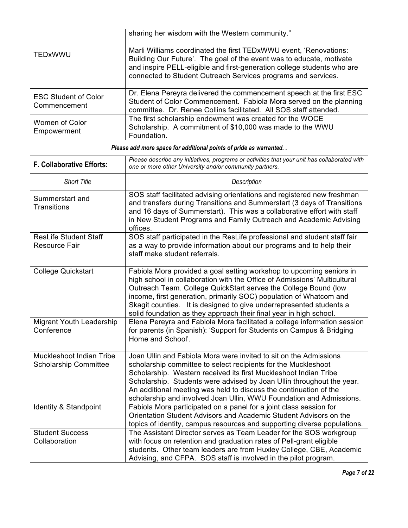|                                                          | sharing her wisdom with the Western community."                                                                                                                                                                                                                                                                                                                                                                                         |
|----------------------------------------------------------|-----------------------------------------------------------------------------------------------------------------------------------------------------------------------------------------------------------------------------------------------------------------------------------------------------------------------------------------------------------------------------------------------------------------------------------------|
| TEDxWWU                                                  | Marli Williams coordinated the first TEDxWWU event, 'Renovations:<br>Building Our Future'. The goal of the event was to educate, motivate<br>and inspire PELL-eligible and first-generation college students who are<br>connected to Student Outreach Services programs and services.                                                                                                                                                   |
| <b>ESC Student of Color</b><br>Commencement              | Dr. Elena Pereyra delivered the commencement speech at the first ESC<br>Student of Color Commencement. Fabiola Mora served on the planning<br>committee. Dr. Renee Collins facilitated. All SOS staff attended.                                                                                                                                                                                                                         |
| <b>Women of Color</b><br>Empowerment                     | The first scholarship endowment was created for the WOCE<br>Scholarship. A commitment of \$10,000 was made to the WWU<br>Foundation.                                                                                                                                                                                                                                                                                                    |
|                                                          | Please add more space for additional points of pride as warranted. .                                                                                                                                                                                                                                                                                                                                                                    |
| <b>F. Collaborative Efforts:</b>                         | Please describe any initiatives, programs or activities that your unit has collaborated with<br>one or more other University and/or community partners.                                                                                                                                                                                                                                                                                 |
| <b>Short Title</b>                                       | Description                                                                                                                                                                                                                                                                                                                                                                                                                             |
| Summerstart and<br><b>Transitions</b>                    | SOS staff facilitated advising orientations and registered new freshman<br>and transfers during Transitions and Summerstart (3 days of Transitions<br>and 16 days of Summerstart). This was a collaborative effort with staff<br>in New Student Programs and Family Outreach and Academic Advising<br>offices.                                                                                                                          |
| <b>ResLife Student Staff</b><br><b>Resource Fair</b>     | SOS staff participated in the ResLife professional and student staff fair<br>as a way to provide information about our programs and to help their<br>staff make student referrals.                                                                                                                                                                                                                                                      |
| <b>College Quickstart</b>                                | Fabiola Mora provided a goal setting workshop to upcoming seniors in<br>high school in collaboration with the Office of Admissions' Multicultural<br>Outreach Team. College QuickStart serves the College Bound (low<br>income, first generation, primarily SOC) population of Whatcom and<br>Skagit counties. It is designed to give underrepresented students a<br>solid foundation as they approach their final year in high school. |
| Migrant Youth Leadership<br>Conference                   | Elena Pereyra and Fabiola Mora facilitated a college information session<br>for parents (in Spanish): 'Support for Students on Campus & Bridging<br>Home and School'.                                                                                                                                                                                                                                                                   |
| Muckleshoot Indian Tribe<br><b>Scholarship Committee</b> | Joan Ullin and Fabiola Mora were invited to sit on the Admissions<br>scholarship committee to select recipients for the Muckleshoot<br>Scholarship. Western received its first Muckleshoot Indian Tribe<br>Scholarship. Students were advised by Joan Ullin throughout the year.<br>An additional meeting was held to discuss the continuation of the<br>scholarship and involved Joan Ullin, WWU Foundation and Admissions.            |
| Identity & Standpoint                                    | Fabiola Mora participated on a panel for a joint class session for<br>Orientation Student Advisors and Academic Student Advisors on the<br>topics of identity, campus resources and supporting diverse populations.                                                                                                                                                                                                                     |
| <b>Student Success</b><br>Collaboration                  | The Assistant Director serves as Team Leader for the SOS workgroup<br>with focus on retention and graduation rates of Pell-grant eligible<br>students. Other team leaders are from Huxley College, CBE, Academic<br>Advising, and CFPA. SOS staff is involved in the pilot program.                                                                                                                                                     |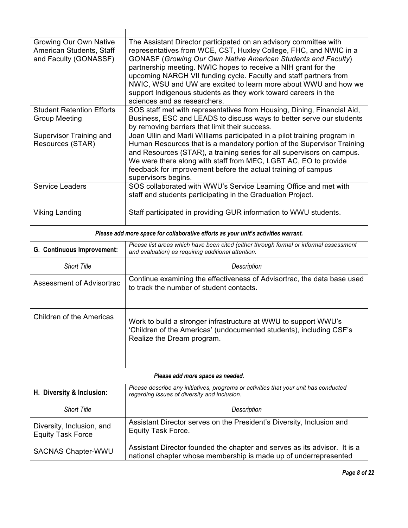| <b>Growing Our Own Native</b><br>American Students, Staff<br>and Faculty (GONASSF) | The Assistant Director participated on an advisory committee with<br>representatives from WCE, CST, Huxley College, FHC, and NWIC in a<br><b>GONASF (Growing Our Own Native American Students and Faculty)</b><br>partnership meeting. NWIC hopes to receive a NIH grant for the<br>upcoming NARCH VII funding cycle. Faculty and staff partners from<br>NWIC, WSU and UW are excited to learn more about WWU and how we<br>support Indigenous students as they work toward careers in the<br>sciences and as researchers. |  |
|------------------------------------------------------------------------------------|----------------------------------------------------------------------------------------------------------------------------------------------------------------------------------------------------------------------------------------------------------------------------------------------------------------------------------------------------------------------------------------------------------------------------------------------------------------------------------------------------------------------------|--|
| <b>Student Retention Efforts</b><br><b>Group Meeting</b>                           | SOS staff met with representatives from Housing, Dining, Financial Aid,<br>Business, ESC and LEADS to discuss ways to better serve our students<br>by removing barriers that limit their success.                                                                                                                                                                                                                                                                                                                          |  |
| Supervisor Training and<br>Resources (STAR)                                        | Joan Ullin and Marli Williams participated in a pilot training program in<br>Human Resources that is a mandatory portion of the Supervisor Training<br>and Resources (STAR), a training series for all supervisors on campus.<br>We were there along with staff from MEC, LGBT AC, EO to provide<br>feedback for improvement before the actual training of campus<br>supervisors begins.                                                                                                                                   |  |
| <b>Service Leaders</b>                                                             | SOS collaborated with WWU's Service Learning Office and met with<br>staff and students participating in the Graduation Project.                                                                                                                                                                                                                                                                                                                                                                                            |  |
| <b>Viking Landing</b>                                                              | Staff participated in providing GUR information to WWU students.                                                                                                                                                                                                                                                                                                                                                                                                                                                           |  |
|                                                                                    | Please add more space for collaborative efforts as your unit's activities warrant.                                                                                                                                                                                                                                                                                                                                                                                                                                         |  |
| G. Continuous Improvement:                                                         | Please list areas which have been cited (either through formal or informal assessment<br>and evaluation) as requiring additional attention.                                                                                                                                                                                                                                                                                                                                                                                |  |
| <b>Short Title</b>                                                                 | Description                                                                                                                                                                                                                                                                                                                                                                                                                                                                                                                |  |
| <b>Assessment of Advisortrac</b>                                                   | Continue examining the effectiveness of Advisortrac, the data base used<br>to track the number of student contacts.                                                                                                                                                                                                                                                                                                                                                                                                        |  |
|                                                                                    |                                                                                                                                                                                                                                                                                                                                                                                                                                                                                                                            |  |
| <b>Children of the Americas</b>                                                    | Work to build a stronger infrastructure at WWU to support WWU's<br>'Children of the Americas' (undocumented students), including CSF's<br>Realize the Dream program.                                                                                                                                                                                                                                                                                                                                                       |  |
|                                                                                    |                                                                                                                                                                                                                                                                                                                                                                                                                                                                                                                            |  |
| Please add more space as needed.                                                   |                                                                                                                                                                                                                                                                                                                                                                                                                                                                                                                            |  |
| H. Diversity & Inclusion:                                                          | Please describe any initiatives, programs or activities that your unit has conducted<br>regarding issues of diversity and inclusion.                                                                                                                                                                                                                                                                                                                                                                                       |  |
| <b>Short Title</b>                                                                 | Description                                                                                                                                                                                                                                                                                                                                                                                                                                                                                                                |  |
| Diversity, Inclusion, and<br><b>Equity Task Force</b>                              | Assistant Director serves on the President's Diversity, Inclusion and<br>Equity Task Force.                                                                                                                                                                                                                                                                                                                                                                                                                                |  |
| <b>SACNAS Chapter-WWU</b>                                                          | Assistant Director founded the chapter and serves as its advisor. It is a<br>national chapter whose membership is made up of underrepresented                                                                                                                                                                                                                                                                                                                                                                              |  |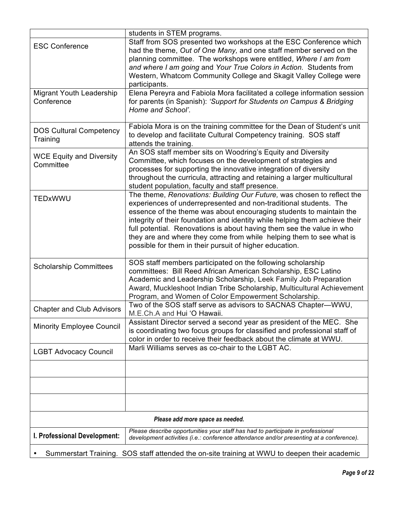|                                                                                               | students in STEM programs.                                                                                                                                                 |  |
|-----------------------------------------------------------------------------------------------|----------------------------------------------------------------------------------------------------------------------------------------------------------------------------|--|
| <b>ESC Conference</b>                                                                         | Staff from SOS presented two workshops at the ESC Conference which<br>had the theme, Out of One Many, and one staff member served on the                                   |  |
|                                                                                               | planning committee. The workshops were entitled, Where I am from                                                                                                           |  |
|                                                                                               | and where I am going and Your True Colors in Action. Students from                                                                                                         |  |
|                                                                                               | Western, Whatcom Community College and Skagit Valley College were<br>participants.                                                                                         |  |
| Migrant Youth Leadership                                                                      | Elena Pereyra and Fabiola Mora facilitated a college information session                                                                                                   |  |
| Conference                                                                                    | for parents (in Spanish): 'Support for Students on Campus & Bridging<br>Home and School'.                                                                                  |  |
| <b>DOS Cultural Competency</b>                                                                | Fabiola Mora is on the training committee for the Dean of Student's unit                                                                                                   |  |
| Training                                                                                      | to develop and facilitate Cultural Competency training. SOS staff<br>attends the training.                                                                                 |  |
| <b>WCE Equity and Diversity</b>                                                               | An SOS staff member sits on Woodring's Equity and Diversity                                                                                                                |  |
| Committee                                                                                     | Committee, which focuses on the development of strategies and<br>processes for supporting the innovative integration of diversity                                          |  |
|                                                                                               | throughout the curricula, attracting and retaining a larger multicultural                                                                                                  |  |
|                                                                                               | student population, faculty and staff presence.                                                                                                                            |  |
| TEDxWWU                                                                                       | The theme, Renovations: Building Our Future, was chosen to reflect the<br>experiences of underrepresented and non-traditional students. The                                |  |
|                                                                                               | essence of the theme was about encouraging students to maintain the                                                                                                        |  |
|                                                                                               | integrity of their foundation and identity while helping them achieve their<br>full potential. Renovations is about having them see the value in who                       |  |
|                                                                                               | they are and where they come from while helping them to see what is                                                                                                        |  |
|                                                                                               | possible for them in their pursuit of higher education.                                                                                                                    |  |
| <b>Scholarship Committees</b>                                                                 | SOS staff members participated on the following scholarship                                                                                                                |  |
|                                                                                               | committees: Bill Reed African American Scholarship, ESC Latino<br>Academic and Leadership Scholarship, Leek Family Job Preparation                                         |  |
|                                                                                               | Award, Muckleshoot Indian Tribe Scholarship, Multicultural Achievement                                                                                                     |  |
|                                                                                               | Program, and Women of Color Empowerment Scholarship.                                                                                                                       |  |
| <b>Chapter and Club Advisors</b>                                                              | Two of the SOS staff serve as advisors to SACNAS Chapter-WWU,<br>M.E.Ch.A and Hui 'O Hawaii.                                                                               |  |
| <b>Minority Employee Council</b>                                                              | Assistant Director served a second year as president of the MEC. She                                                                                                       |  |
|                                                                                               | is coordinating two focus groups for classified and professional staff of<br>color in order to receive their feedback about the climate at WWU.                            |  |
| <b>LGBT Advocacy Council</b>                                                                  | Marli Williams serves as co-chair to the LGBT AC.                                                                                                                          |  |
|                                                                                               |                                                                                                                                                                            |  |
|                                                                                               |                                                                                                                                                                            |  |
|                                                                                               |                                                                                                                                                                            |  |
| Please add more space as needed.                                                              |                                                                                                                                                                            |  |
| I. Professional Development:                                                                  | Please describe opportunities your staff has had to participate in professional<br>development activities (i.e.: conference attendance and/or presenting at a conference). |  |
| Summerstart Training. SOS staff attended the on-site training at WWU to deepen their academic |                                                                                                                                                                            |  |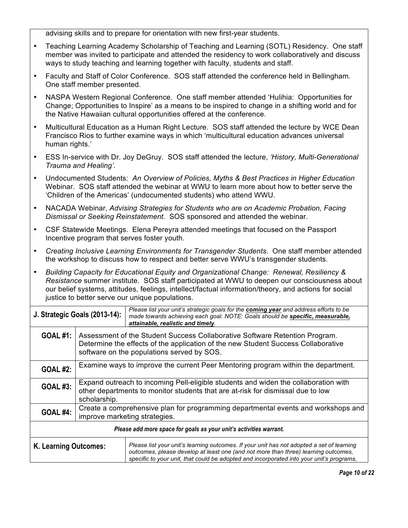advising skills and to prepare for orientation with new first-year students.

- • Teaching Learning Academy Scholarship of Teaching and Learning (SOTL) Residency. One staff member was invited to participate and attended the residency to work collaboratively and discuss ways to study teaching and learning together with faculty, students and staff.
- • Faculty and Staff of Color Conference. SOS staff attended the conference held in Bellingham. One staff member presented.
- • NASPA Western Regional Conference. One staff member attended 'Hulihia: Opportunities for Change; Opportunities to Inspire' as a means to be inspired to change in a shifting world and for the Native Hawaiian cultural opportunities offered at the conference.
- • Multicultural Education as a Human Right Lecture. SOS staff attended the lecture by WCE Dean Francisco Rios to further examine ways in which 'multicultural education advances universal human rights.'
- • ESS In-service with Dr. Joy DeGruy. SOS staff attended the lecture, *'History, Multi-Generational Trauma and Healing'.*
- • Undocumented Students: *An Overview of Policies, Myths & Best Practices in Higher Education*  Webinar. SOS staff attended the webinar at WWU to learn more about how to better serve the 'Children of the Americas' (undocumented students) who attend WWU.
- • NACADA Webinar, *Advising Strategies for Students who are on Academic Probation, Facing Dismissal or Seeking Reinstatement*. SOS sponsored and attended the webinar.
- • CSF Statewide Meetings. Elena Pereyra attended meetings that focused on the Passport Incentive program that serves foster youth.
- *Creating Inclusive Learning Environments for Transgender Students*. One staff member attended the workshop to discuss how to respect and better serve WWU's transgender students.
- *Building Capacity for Educational Equity and Organizational Change: Renewal, Resiliency & Resistance* summer institute. SOS staff participated at WWU to deepen our consciousness about our belief systems, attitudes, feelings, intellect/factual information/theory, and actions for social justice to better serve our unique populations.

| J. Strategic Goals (2013-14):                                                                                                         |                                                                                                                                                                                                                | Please list your unit's strategic goals for the coming year and address efforts to be<br>made towards achieving each goal. NOTE: Goals should be specific, measurable,<br>attainable, realistic and timely.                                                                 |  |  |  |
|---------------------------------------------------------------------------------------------------------------------------------------|----------------------------------------------------------------------------------------------------------------------------------------------------------------------------------------------------------------|-----------------------------------------------------------------------------------------------------------------------------------------------------------------------------------------------------------------------------------------------------------------------------|--|--|--|
| <b>GOAL #1:</b>                                                                                                                       | Assessment of the Student Success Collaborative Software Retention Program.<br>Determine the effects of the application of the new Student Success Collaborative<br>software on the populations served by SOS. |                                                                                                                                                                                                                                                                             |  |  |  |
| <b>GOAL #2:</b>                                                                                                                       | Examine ways to improve the current Peer Mentoring program within the department.                                                                                                                              |                                                                                                                                                                                                                                                                             |  |  |  |
| <b>GOAL #3:</b>                                                                                                                       | Expand outreach to incoming Pell-eligible students and widen the collaboration with<br>other departments to monitor students that are at-risk for dismissal due to low<br>scholarship.                         |                                                                                                                                                                                                                                                                             |  |  |  |
| Create a comprehensive plan for programming departmental events and workshops and<br><b>GOAL #4:</b><br>improve marketing strategies. |                                                                                                                                                                                                                |                                                                                                                                                                                                                                                                             |  |  |  |
| Please add more space for goals as your unit's activities warrant.                                                                    |                                                                                                                                                                                                                |                                                                                                                                                                                                                                                                             |  |  |  |
| K. Learning Outcomes:                                                                                                                 |                                                                                                                                                                                                                | Please list your unit's learning outcomes. If your unit has not adopted a set of learning<br>outcomes, please develop at least one (and not more than three) learning outcomes,<br>specific to your unit, that could be adopted and incorporated into your unit's programs, |  |  |  |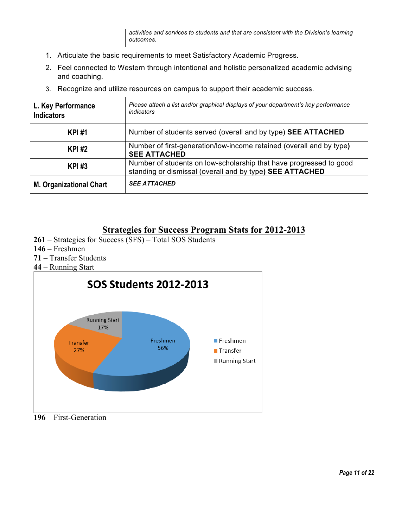| activities and services to students and that are consistent with the Division's learning<br>outcomes. |                                                                                                                                |  |  |  |
|-------------------------------------------------------------------------------------------------------|--------------------------------------------------------------------------------------------------------------------------------|--|--|--|
|                                                                                                       | 1. Articulate the basic requirements to meet Satisfactory Academic Progress.                                                   |  |  |  |
| and coaching.                                                                                         | 2. Feel connected to Western through intentional and holistic personalized academic advising                                   |  |  |  |
| 3.                                                                                                    | Recognize and utilize resources on campus to support their academic success.                                                   |  |  |  |
| L. Key Performance<br><b>Indicators</b>                                                               | Please attach a list and/or graphical displays of your department's key performance<br><i>indicators</i>                       |  |  |  |
| <b>KPI#1</b>                                                                                          | Number of students served (overall and by type) SEE ATTACHED                                                                   |  |  |  |
| <b>KPI#2</b>                                                                                          | Number of first-generation/low-income retained (overall and by type)<br><b>SEE ATTACHED</b>                                    |  |  |  |
| <b>KPI#3</b>                                                                                          | Number of students on low-scholarship that have progressed to good<br>standing or dismissal (overall and by type) SEE ATTACHED |  |  |  |
| <b>M. Organizational Chart</b>                                                                        | <b>SEE ATTACHED</b>                                                                                                            |  |  |  |

# **Strategies for Success Program Stats for 2012-2013**

- **261**  Strategies for Success (SFS) Total SOS Students
- **146**  Freshmen
- **71**  Transfer Students
- **44**  Running Start



**196** – First-Generation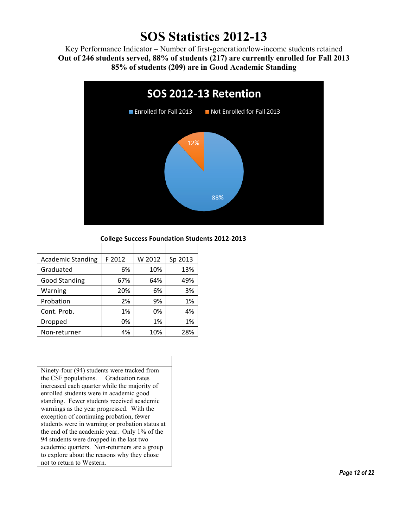# **SOS Statistics 2012-13**

 **Out of 246 students served, 88% of students (217) are currently enrolled for Fall 2013**  Key Performance Indicator – Number of first-generation/low-income students retained **85% of students (209) are in Good Academic Standing** 



#### **College Success Foundation Students 2012-2013**

| <b>Academic Standing</b> | F 2012 | W 2012 | Sp 2013 |
|--------------------------|--------|--------|---------|
| Graduated                | 6%     | 10%    | 13%     |
| <b>Good Standing</b>     | 67%    | 64%    | 49%     |
| Warning                  | 20%    | 6%     | 3%      |
| Probation                | 2%     | 9%     | 1%      |
| Cont. Prob.              | 1%     | 0%     | 4%      |
| Dropped                  | 0%     | 1%     | 1%      |
| Non-returner             | 4%     | 10%    | 28%     |

 Ninety-four (94) students were tracked from increased each quarter while the majority of enrolled students were in academic good standing. Fewer students received academic warnings as the year progressed. With the exception of continuing probation, fewer students were in warning or probation status at the end of the academic year. Only 1% of the 94 students were dropped in the last two academic quarters. Non-returners are a group the CSF populations. Graduation rates to explore about the reasons why they chose not to return to Western.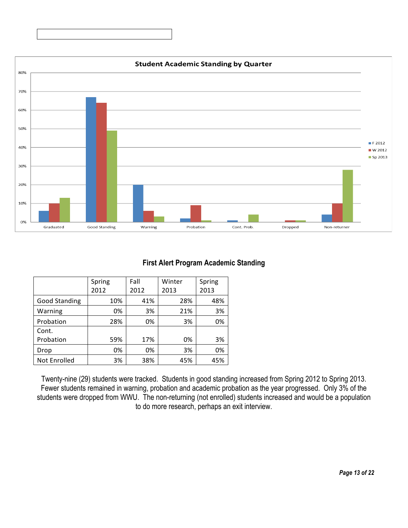

#### **First Alert Program Academic Standing**

|                      | Spring<br>2012 | Fall<br>2012 | Winter<br>2013 | Spring<br>2013 |
|----------------------|----------------|--------------|----------------|----------------|
|                      |                |              |                |                |
| <b>Good Standing</b> | 10%            | 41%          | 28%            | 48%            |
| Warning              | 0%             | 3%           | 21%            | 3%             |
| Probation            | 28%            | 0%           | 3%             | 0%             |
| Cont.                |                |              |                |                |
| Probation            | 59%            | 17%          | 0%             | 3%             |
| Drop                 | 0%             | 0%           | 3%             | 0%             |
| Not Enrolled         | 3%             | 38%          | 45%            | 45%            |

Twenty-nine (29) students were tracked. Students in good standing increased from Spring 2012 to Spring 2013. Fewer students remained in warning, probation and academic probation as the year progressed. Only 3% of the students were dropped from WWU. The non-returning (not enrolled) students increased and would be a population to do more research, perhaps an exit interview.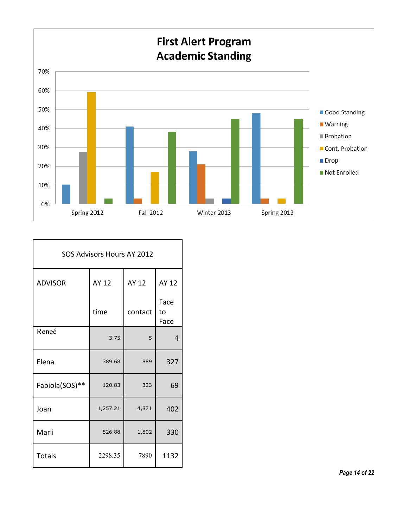

| SOS Advisors Hours AY 2012 |          |         |                    |  |  |  |
|----------------------------|----------|---------|--------------------|--|--|--|
| <b>ADVISOR</b>             | AY 12    | AY 12   | AY 12              |  |  |  |
|                            | time     | contact | Face<br>to<br>Face |  |  |  |
| Reneé                      | 3.75     | 5       | $\overline{4}$     |  |  |  |
| Elena                      | 389.68   | 889     | 327                |  |  |  |
| Fabiola(SOS)**             | 120.83   | 323     | 69                 |  |  |  |
| Joan                       | 1,257.21 | 4,871   | 402                |  |  |  |
| Marli                      | 526.88   | 1,802   | 330                |  |  |  |
| <b>Totals</b>              | 2298.35  | 7890    | 1132               |  |  |  |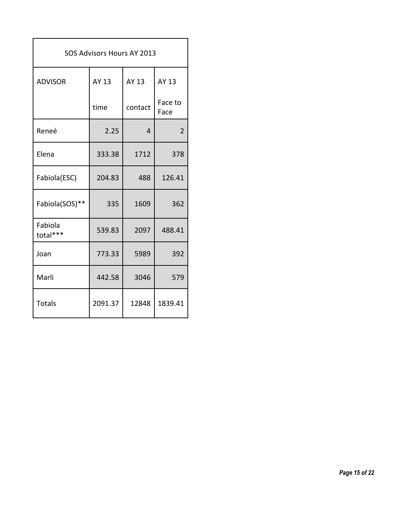| SOS Advisors Hours AY 2013 |         |                |                 |  |  |
|----------------------------|---------|----------------|-----------------|--|--|
| <b>ADVISOR</b>             | AY 13   | AY 13          | AY 13           |  |  |
|                            | time    | contact        | Face to<br>Face |  |  |
| Reneé                      | 2.25    | $\overline{a}$ | $\overline{2}$  |  |  |
| Elena                      | 333.38  | 1712           | 378             |  |  |
| Fabiola(ESC)               | 204.83  | 488            | 126.41          |  |  |
| Fabiola(SOS)**             | 335     | 1609           | 362             |  |  |
| Fabiola<br>total***        | 539.83  | 2097           | 488.41          |  |  |
| Joan                       | 773.33  | 5989           | 392             |  |  |
| Marli                      | 442.58  | 3046           | 579             |  |  |
| <b>Totals</b>              | 2091.37 | 12848          | 1839.41         |  |  |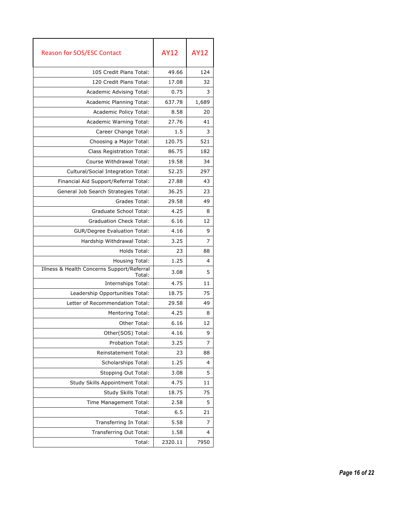| <b>Reason for SOS/ESC Contact</b>                    | <b>AY12</b> | <b>AY12</b> |
|------------------------------------------------------|-------------|-------------|
| 105 Credit Plans Total:                              | 49.66       | 124         |
| 120 Credit Plans Total:                              | 17.08       | 32          |
| Academic Advising Total:                             | 0.75        | 3           |
| Academic Planning Total:                             | 637.78      | 1,689       |
| Academic Policy Total:                               | 8.58        | 20          |
| Academic Warning Total:                              | 27.76       | 41          |
| Career Change Total:                                 | 1.5         | 3           |
| Choosing a Major Total:                              | 120.75      | 521         |
| Class Registration Total:                            | 86.75       | 182         |
| Course Withdrawal Total:                             | 19.58       | 34          |
| Cultural/Social Integration Total:                   | 52.25       | 297         |
| Financial Aid Support/Referral Total:                | 27.88       | 43          |
| General Job Search Strategies Total:                 | 36.25       | 23          |
| Grades Total:                                        | 29.58       | 49          |
| Graduate School Total:                               | 4.25        | 8           |
| <b>Graduation Check Total:</b>                       | 6.16        | 12          |
| <b>GUR/Degree Evaluation Total:</b>                  | 4.16        | 9           |
| Hardship Withdrawal Total:                           | 3.25        | 7           |
| Holds Total:                                         | 23          | 88          |
| Housing Total:                                       | 1.25        | 4           |
| Illness & Health Concerns Support/Referral<br>Total: | 3.08        | 5           |
| Internships Total:                                   | 4.75        | 11          |
| Leadership Opportunities Total:                      | 18.75       | 75          |
| Letter of Recommendation Total:                      | 29.58       | 49          |
| <b>Mentoring Total:</b>                              | 4.25        | 8           |
| Other Total:                                         | 6.16        | 12          |
| Other(SOS) Total:                                    | 4.16        | 9           |
| <b>Probation Total:</b>                              | 3.25        | 7           |
| Reinstatement Total:                                 | 23          | 88          |
| Scholarships Total:                                  | 1.25        | 4           |
| Stopping Out Total:                                  | 3.08        | 5           |
| Study Skills Appointment Total:                      | 4.75        | 11          |
| Study Skills Total:                                  | 18.75       | 75          |
| Time Management Total:                               | 2.58        | 5           |
| Total:                                               | 6.5         | 21          |
| Transferring In Total:                               | 5.58        | 7           |
| Transferring Out Total:                              | 1.58        | 4           |
| Total:                                               | 2320.11     | 7950        |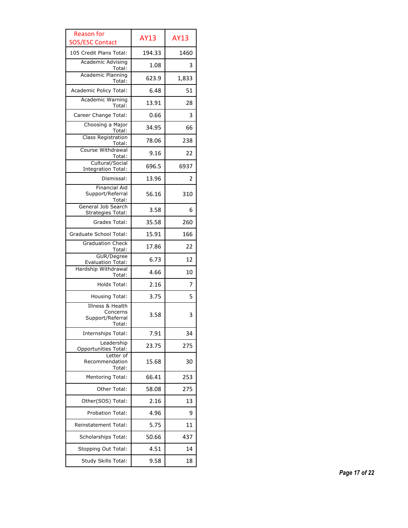| <b>Reason for</b><br><b>SOS/ESC Contact</b>                | <b>AY13</b> | <b>AY13</b> |
|------------------------------------------------------------|-------------|-------------|
| 105 Credit Plans Total:                                    | 194.33      | 1460        |
| <b>Academic Advising</b><br>Total:                         | 1.08        | 3           |
| Academic Planning<br>Total:                                | 623.9       | 1,833       |
| Academic Policy Total:                                     | 6.48        | 51          |
| Academic Warning<br>Total:                                 | 13.91       | 28          |
| Career Change Total:                                       | 0.66        | 3           |
| Choosing a Major                                           | 34.95       | 66          |
| Total:<br>Class Registration                               | 78.06       | 238         |
| Total:<br>Course Withdrawal                                | 9.16        | 22          |
| Total:<br>Cultural/Social                                  | 696.5       | 6937        |
| <b>Integration Total:</b><br>Dismissal:                    | 13.96       | 2           |
| <b>Financial Aid</b>                                       |             |             |
| Support/Referral<br>Total:                                 | 56.16       | 310         |
| General Job Search<br><b>Strategies Total:</b>             | 3.58        | 6           |
| Grades Total:                                              | 35.58       | 260         |
| Graduate School Total:                                     | 15.91       | 166         |
| <b>Graduation Check</b><br>Total:                          | 17.86       | 22          |
| GUR/Degree<br><b>Evaluation Total:</b>                     | 6.73        | 12          |
| Hardship Withdrawal<br>Total:                              | 4.66        | 10          |
| Holds Total:                                               | 2.16        | 7           |
| <b>Housing Total:</b>                                      | 3.75        | 5           |
| Illness & Health<br>Concerns<br>Support/Referral<br>Total: | 3.58        | 3           |
| Internships Total:                                         | 7.91        | 34          |
| Leadership<br><b>Opportunities Total:</b>                  | 23.75       | 275         |
| Letter of<br>Recommendation<br>Total:                      | 15.68       | 30          |
| <b>Mentoring Total:</b>                                    | 66.41       | 253         |
| <b>Other Total:</b>                                        | 58.08       | 275         |
| Other(SOS) Total:                                          | 2.16        | 13          |
| Probation Total:                                           | 4.96        | 9           |
| Reinstatement Total:                                       | 5.75        | 11          |
| Scholarships Total:                                        | 50.66       | 437         |
| Stopping Out Total:                                        | 4.51        | 14          |
| Study Skills Total:                                        | 9.58        | 18          |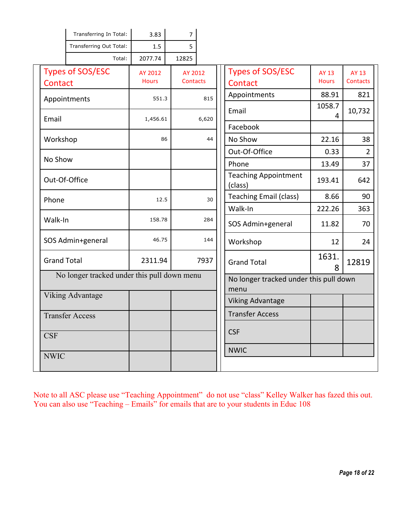|                    | Transferring In Total:                      | 3.83         | $\overline{7}$  |                                                |                                        |              |                 |
|--------------------|---------------------------------------------|--------------|-----------------|------------------------------------------------|----------------------------------------|--------------|-----------------|
|                    | Transferring Out Total:                     | 1.5          | 5               |                                                |                                        |              |                 |
|                    | Total:                                      | 2077.74      | 12825           |                                                |                                        |              |                 |
|                    | <b>Types of SOS/ESC</b>                     | AY 2012      | AY 2012         |                                                | <b>Types of SOS/ESC</b>                | <b>AY 13</b> | AY 13           |
| Contact            |                                             | <b>Hours</b> | <b>Contacts</b> |                                                | Contact                                | <b>Hours</b> | <b>Contacts</b> |
|                    | Appointments                                | 551.3        |                 | 815                                            | Appointments                           | 88.91        | 821             |
| Email              |                                             | 1,456.61     |                 | 6,620                                          | Email                                  | 1058.7<br>4  | 10,732          |
|                    |                                             |              |                 |                                                | Facebook                               |              |                 |
| Workshop           |                                             | 86           |                 | 44                                             | No Show                                | 22.16        | 38              |
|                    |                                             |              |                 |                                                | Out-Of-Office                          | 0.33         | $\overline{2}$  |
| No Show            |                                             |              |                 |                                                | Phone                                  | 13.49        | 37              |
| Out-Of-Office      |                                             |              |                 |                                                | <b>Teaching Appointment</b><br>(class) | 193.41       | 642             |
| Phone              |                                             | 12.5         |                 | 30                                             | <b>Teaching Email (class)</b>          | 8.66         | 90              |
|                    |                                             |              |                 |                                                | Walk-In                                | 222.26       | 363             |
| Walk-In            |                                             | 158.78       |                 | 284                                            | SOS Admin+general                      | 11.82        | 70              |
|                    | SOS Admin+general                           | 46.75        |                 | 144                                            | Workshop                               | 12           | 24              |
| <b>Grand Total</b> |                                             | 2311.94      |                 | 7937                                           | <b>Grand Total</b>                     | 1631.<br>8   | 12819           |
|                    | No longer tracked under this pull down menu |              |                 | No longer tracked under this pull down<br>menu |                                        |              |                 |
|                    | <b>Viking Advantage</b>                     |              |                 |                                                | <b>Viking Advantage</b>                |              |                 |
|                    | <b>Transfer Access</b>                      |              |                 |                                                | <b>Transfer Access</b>                 |              |                 |
| <b>CSF</b>         |                                             |              |                 |                                                | <b>CSF</b>                             |              |                 |
| <b>NWIC</b>        |                                             |              |                 |                                                | <b>NWIC</b>                            |              |                 |
|                    |                                             |              |                 |                                                |                                        |              |                 |

Note to all ASC please use "Teaching Appointment" do not use "class" Kelley Walker has fazed this out.<br>You can also use "Teaching – Emails" for emails that are to your students in Educ 108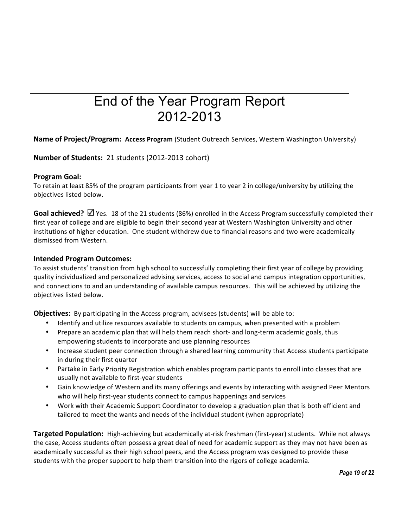# End of the Year Program Report 2012-2013

#### Name of Project/Program: Access Program (Student Outreach Services, Western Washington University)

#### **Number of Students:** 21 students (2012-2013 cohort)

#### **Program Goal:**

To retain at least 85% of the program participants from year 1 to year 2 in college/university by utilizing the objectives listed below.

Goal achieved? Ø Yes. 18 of the 21 students (86%) enrolled in the Access Program successfully completed their first year of college and are eligible to begin their second year at Western Washington University and other institutions of higher education. One student withdrew due to financial reasons and two were academically dismissed from Western.

#### **Intended Program Outcomes:**

 To assist students' transition from high school to successfully completing their first year of college by providing quality individualized and personalized advising services, access to social and campus integration opportunities, and connections to and an understanding of available campus resources. This will be achieved by utilizing the objectives listed below.

**Objectives:** By participating in the Access program, advisees (students) will be able to:

- Identify and utilize resources available to students on campus, when presented with a problem
- Prepare an academic plan that will help them reach short- and long-term academic goals, thus empowering students to incorporate and use planning resources
- Increase student peer connection through a shared learning community that Access students participate in during their first quarter
- Partake in Early Priority Registration which enables program participants to enroll into classes that are usually not available to first-year students
- Gain knowledge of Western and its many offerings and events by interacting with assigned Peer Mentors who will help first-year students connect to campus happenings and services
- Work with their Academic Support Coordinator to develop a graduation plan that is both efficient and tailored to meet the wants and needs of the individual student (when appropriate)

Targeted Population: High-achieving but academically at-risk freshman (first-year) students. While not always the case, Access students often possess a great deal of need for academic support as they may not have been as academically successful as their high school peers, and the Access program was designed to provide these students with the proper support to help them transition into the rigors of college academia.